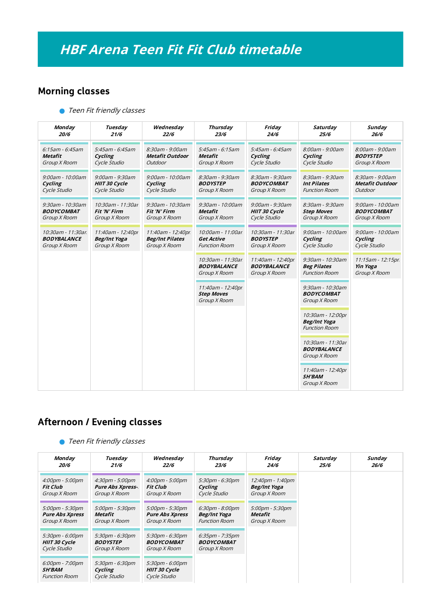## Morning classes

**Teen Fit friendly classes** 

| <b>Monday</b>         | Tuesday              | Wednesday              | <b>Thursday</b>                                          | Friday                                                  | Saturday                                                         | Sunday                                               |
|-----------------------|----------------------|------------------------|----------------------------------------------------------|---------------------------------------------------------|------------------------------------------------------------------|------------------------------------------------------|
| 20/6                  | 21/6                 | 22/6                   | 23/6                                                     | 24/6                                                    | 25/6                                                             | 26/6                                                 |
| $6:15$ am - $6:45$ am | 5:45am - 6:45am      | 8:30am - 9:00am        | 5:45am - 6:15am                                          | 5:45am - 6:45am                                         | 8:00am - 9:00am                                                  | 8:00am - 9:00am                                      |
| Metafit               | Cycling              | <b>Metafit Outdoor</b> | Metafit                                                  | Cycling                                                 | Cycling                                                          | <b>BODYSTEP</b>                                      |
| Group X Room          | Cycle Studio         | Outdoor                | Group X Room                                             | Cycle Studio                                            | Cycle Studio                                                     | Group X Room                                         |
| 9:00am - 10:00am      | 9:00am - 9:30am      | 9:00am - 10:00am       | 8:30am - 9:30am                                          | 8:30am - 9:30am                                         | 8:30am - 9:30am                                                  | 8:30am - 9:00am                                      |
| Cycling               | <b>HIIT 30 Cycle</b> | Cycling                | <b>BODYSTEP</b>                                          | <b>BODYCOMBAT</b>                                       | <b>Int Pilates</b>                                               | <b>Metafit Outdoor</b>                               |
| Cycle Studio          | Cycle Studio         | Cycle Studio           | Group X Room                                             | Group X Room                                            | <b>Function Room</b>                                             | Outdoor                                              |
| 9:30am - 10:30am      | 10:30am - 11:30ar    | 9:30am - 10:30am       | 9:30am - 10:00am                                         | 9:00am - 9:30am                                         | 8:30am - 9:30am                                                  | 9:00am - 10:00am                                     |
| <b>BODYCOMBAT</b>     | Fit 'N' Firm         | Fit 'N' Firm           | <b>Metafit</b>                                           | HIIT 30 Cycle                                           | <b>Step Moves</b>                                                | <b>BODYCOMBAT</b>                                    |
| Group X Room          | Group X Room         | Group X Room           | Group X Room                                             | Cycle Studio                                            | Group X Room                                                     | Group X Room                                         |
| 10:30am - 11:30ar     | 11:40am - 12:40pr    | 11:40am - 12:40pr      | 10:00am - 11:00ar.                                       | 10:30am - 11:30ar                                       | 9:00am - 10:00am                                                 | 9:00am - 10:00am                                     |
| <b>BODYBALANCE</b>    | <b>Beg/Int Yoga</b>  | <b>Beg/Int Pilates</b> | <b>Get Active</b>                                        | <b>BODYSTEP</b>                                         | Cycling                                                          | Cycling                                              |
| Group X Room          | Group X Room         | Group X Room           | <b>Function Room</b>                                     | Group X Room                                            | Cycle Studio                                                     | Cycle Studio                                         |
|                       |                      |                        | 10:30am - 11:30ar.<br><b>BODYBALANCE</b><br>Group X Room | 11:40am - 12:40pr<br><b>BODYBALANCE</b><br>Group X Room | 9:30am - 10:30am<br><b>Beg Pilates</b><br><b>Function Room</b>   | 11:15am - 12:15pr<br><b>Yin Yoga</b><br>Group X Room |
|                       |                      |                        | 11:40am - 12:40pr<br><b>Step Moves</b><br>Group X Room   |                                                         | 9:30am - 10:30am<br><b>BODYCOMBAT</b><br>Group X Room            |                                                      |
|                       |                      |                        |                                                          |                                                         | 10:30am - 12:00pr<br><b>Beg/Int Yoga</b><br><b>Function Room</b> |                                                      |
|                       |                      |                        |                                                          |                                                         | 10:30am - 11:30ar<br><b>BODYBALANCE</b><br>Group X Room          |                                                      |
|                       |                      |                        |                                                          |                                                         | 11:40am - 12:40pr<br><b>SH'BAM</b><br>Group X Room               |                                                      |

## Afternoon / Evening classes

**O** Teen Fit friendly classes

| Monday<br><i><b>20/6</b></i>                                    | Tuesday<br>21/6                                            | Wednesday<br>22/6                                                    | Thursday<br>23/6                                              | Friday<br>24/6                                   | Saturday<br>25/6 | Sunday<br>26/6 |
|-----------------------------------------------------------------|------------------------------------------------------------|----------------------------------------------------------------------|---------------------------------------------------------------|--------------------------------------------------|------------------|----------------|
| 4:00pm - 5:00pm<br>Fit Club<br>Group X Room                     | 4:30pm - 5:00pm<br><b>Pure Abs Xpress-</b><br>Group X Room | $4:00 \text{pm} - 5:00 \text{pm}$<br><b>Fit Club</b><br>Group X Room | 5:30pm - 6:30pm<br>Cycling<br>Cycle Studio                    | 12:40pm - 1:40pm<br>Beg/Int Yoga<br>Group X Room |                  |                |
| $5:00$ pm - $5:30$ pm<br><b>Pure Abs Xpress</b><br>Group X Room | 5:00pm - 5:30pm<br>Metafit<br>Group X Room                 | $5:00$ pm - $5:30$ pm<br><b>Pure Abs Xpress</b><br>Group X Room      | $6:30$ pm - $8:00$ pm<br>Beg/Int Yoga<br><b>Function Room</b> | $5:00$ pm - $5:30$ pm<br>Metafit<br>Group X Room |                  |                |
| $5:30$ pm - $6:00$ pm<br><b>HIIT 30 Cycle</b><br>Cycle Studio   | 5:30pm - 6:30pm<br><b>BODYSTEP</b><br>Group X Room         | 5:30pm - 6:30pm<br><b>BODYCOMBAT</b><br>Group X Room                 | $6:35$ pm - 7:35pm<br><b>BODYCOMBAT</b><br>Group X Room       |                                                  |                  |                |
| 6:00pm - 7:00pm<br><i><b>SH'BAM</b></i><br><b>Function Room</b> | 5:30pm - 6:30pm<br>Cycling<br>Cycle Studio                 | $5:30$ pm - $6:00$ pm<br><b>HIIT 30 Cycle</b><br>Cycle Studio        |                                                               |                                                  |                  |                |